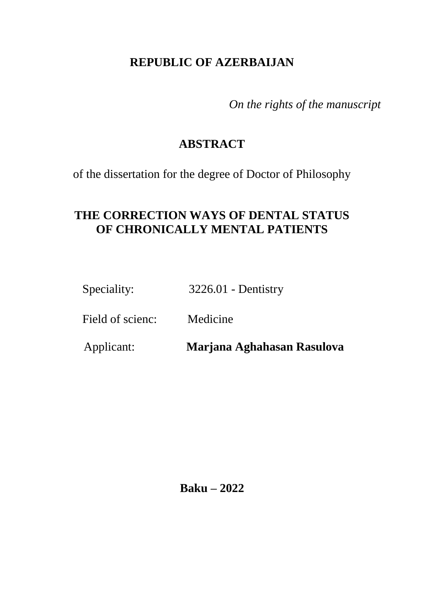# **REPUBLIC OF AZERBAIJAN**

*On the rights of the manuscript*

# **ABSTRACT**

of the dissertation for the degree of Doctor of Philosophy

# **THE CORRECTION WAYS OF DENTAL STATUS OF CHRONICALLY MENTAL PATIENTS**

Speciality: 3226.01 - Dentistry

Field of scienc: Medicine

Applicant: **Marjana Aghahasan Rasulova**

**Baku – 2022**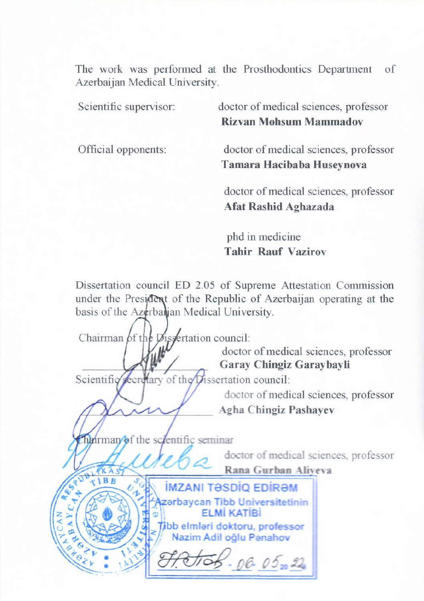The work was performed at the Prosthodontics Department  $\alpha$ f  $S<sub>1</sub>$  supervisor: doctor of medical sciences, professor:  $P$ 

Scientific supervisor:

doctor of medical sciences, professor **Rizvan Mohsum Mammadov** 

Official opponents:

**Tamara Hacibaba Huseynova**

doctor of medical sciences, professor<br>**Afat Rashid Aghazada** 

phd in medicine **Tahir Rauf Vazirov**

Dissertation council ED 2.05 of Supreme Attestation Commission under the President of the Republic of Azerbaijan operating at the basis of the Azerbalian Medical University.

Chairman of the Dissertation council: doctor of medical sciences, professor \_\_\_\_\_\_\_\_\_\_\_\_\_\_\_\_\_\_\_\_\_\_ **Garay Chingiz Garaybayli** Scientific secretary of the Dissertation council: doctor of medical sciences, professor \_\_\_\_\_\_\_\_\_\_\_\_\_\_\_\_\_\_\_\_\_\_\_ **Agha Chingiz Pashayev**  $h$ airman/of the scientific seminar doctor of medical sciences, professor **Rana Gurban Aliyeva**<br> **Rana Gurban Aliyeva**<br> **Rana Gurban Aliyeva**<br> **Rana Gurban Aliyeva** zerbaycan Tibb Universitetinin **FLMİ KATİBİ** fibb elmləri doktoru, professor  $06.05 - 22$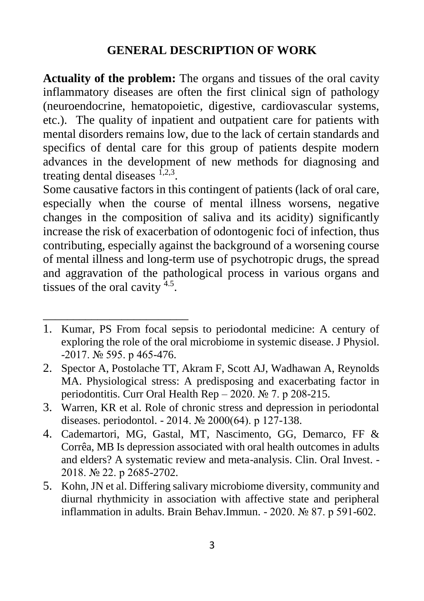#### **GENERAL DESCRIPTION OF WORK**

**Actuality of the problem:** The organs and tissues of the oral cavity inflammatory diseases are often the first clinical sign of pathology (neuroendocrine, hematopoietic, digestive, cardiovascular systems, etc.). The quality of inpatient and outpatient care for patients with mental disorders remains low, due to the lack of certain standards and specifics of dental care for this group of patients despite modern advances in the development of new methods for diagnosing and treating dental diseases  $1,2,3$ .

Some causative factors in this contingent of patients (lack of oral care, especially when the course of mental illness worsens, negative changes in the composition of saliva and its acidity) significantly increase the risk of exacerbation of odontogenic foci of infection, thus contributing, especially against the background of a worsening course of mental illness and long-term use of psychotropic drugs, the spread and aggravation of the pathological process in various organs and tissues of the oral cavity  $4.5$ .

1. Kumar, PS From focal sepsis to periodontal medicine: A century of exploring the role of the oral microbiome in systemic disease. J Physiol. -2017. № 595. р 465-476.

\_\_\_\_\_\_\_\_\_\_\_\_\_\_\_\_\_\_\_\_\_\_\_\_

- 2. Spector A, Postolache TT, Akram F, Scott AJ, Wadhawan A, Reynolds MA. Physiological stress: A predisposing and exacerbating factor in periodontitis. Curr Oral Health Rep – 2020. № 7. p 208-215.
- 3. Warren, KR et al. Role of chronic stress and depression in periodontal diseases. periodontol. - 2014. № 2000(64). р 127-138.
- 4. Cademartori, MG, Gastal, MT, Nascimento, GG, Demarco, FF & Corrêa, MB Is depression associated with oral health outcomes in adults and elders? A systematic review and meta-analysis. Clin. Oral Invest. - 2018. № 22. р 2685-2702.
- 5. Kohn, JN et al. Differing salivary microbiome diversity, community and diurnal rhythmicity in association with affective state and peripheral inflammation in adults. Brain Behav.Immun. - 2020. № 87. р 591-602.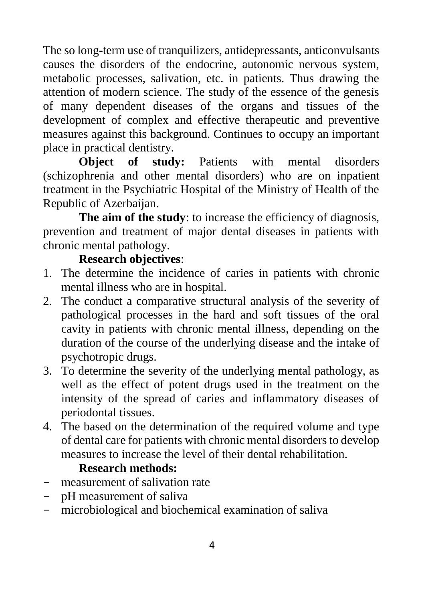The so long-term use of tranquilizers, antidepressants, anticonvulsants causes the disorders of the endocrine, autonomic nervous system, metabolic processes, salivation, etc. in patients. Thus drawing the attention of modern science. The study of the essence of the genesis of many dependent diseases of the organs and tissues of the development of complex and effective therapeutic and preventive measures against this background. Continues to occupy an important place in practical dentistry.

**Object of study:** Patients with mental disorders (schizophrenia and other mental disorders) who are on inpatient treatment in the Psychiatric Hospital of the Ministry of Health of the Republic of Azerbaijan.

**The aim of the study**: to increase the efficiency of diagnosis, prevention and treatment of major dental diseases in patients with chronic mental pathology.

### **Research objectives**:

- 1. The determine the incidence of caries in patients with chronic mental illness who are in hospital.
- 2. The conduct a comparative structural analysis of the severity of pathological processes in the hard and soft tissues of the oral cavity in patients with chronic mental illness, depending on the duration of the course of the underlying disease and the intake of psychotropic drugs.
- 3. To determine the severity of the underlying mental pathology, as well as the effect of potent drugs used in the treatment on the intensity of the spread of caries and inflammatory diseases of periodontal tissues.
- 4. The based on the determination of the required volume and type of dental care for patients with chronic mental disorders to develop measures to increase the level of their dental rehabilitation.

### **Research methods:**

- measurement of salivation rate
- pH measurement of saliva
- microbiological and biochemical examination of saliva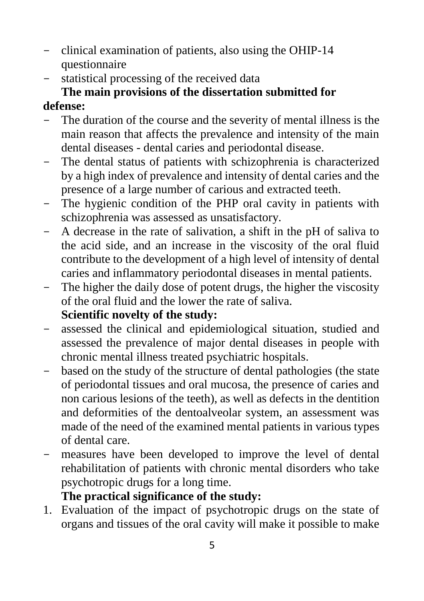- clinical examination of patients, also using the OHIP-14 questionnaire
- statistical processing of the received data

# **The main provisions of the dissertation submitted for**

# **defense:**

- The duration of the course and the severity of mental illness is the main reason that affects the prevalence and intensity of the main dental diseases - dental caries and periodontal disease.
- The dental status of patients with schizophrenia is characterized by a high index of prevalence and intensity of dental caries and the presence of a large number of carious and extracted teeth.
- The hygienic condition of the PHP oral cavity in patients with schizophrenia was assessed as unsatisfactory.
- A decrease in the rate of salivation, a shift in the pH of saliva to the acid side, and an increase in the viscosity of the oral fluid contribute to the development of a high level of intensity of dental caries and inflammatory periodontal diseases in mental patients.
- The higher the daily dose of potent drugs, the higher the viscosity of the oral fluid and the lower the rate of saliva.

# **Scientific novelty of the study:**

- assessed the clinical and epidemiological situation, studied and assessed the prevalence of major dental diseases in people with chronic mental illness treated psychiatric hospitals.
- based on the study of the structure of dental pathologies (the state of periodontal tissues and oral mucosa, the presence of caries and non carious lesions of the teeth), as well as defects in the dentition and deformities of the dentoalveolar system, an assessment was made of the need of the examined mental patients in various types of dental care.
- measures have been developed to improve the level of dental rehabilitation of patients with chronic mental disorders who take psychotropic drugs for a long time.

# **The practical significance of the study:**

1. Evaluation of the impact of psychotropic drugs on the state of organs and tissues of the oral cavity will make it possible to make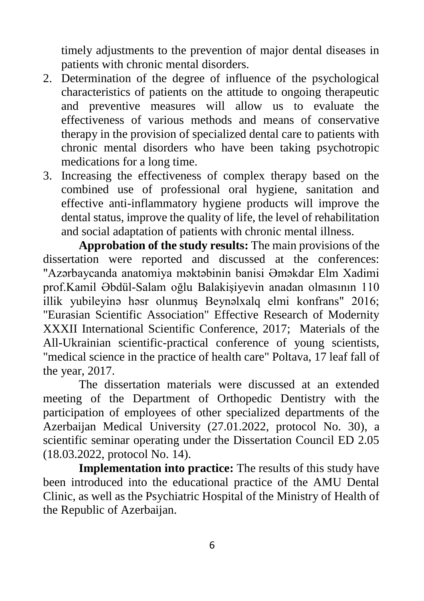timely adjustments to the prevention of major dental diseases in patients with chronic mental disorders.

- 2. Determination of the degree of influence of the psychological characteristics of patients on the attitude to ongoing therapeutic and preventive measures will allow us to evaluate the effectiveness of various methods and means of conservative therapy in the provision of specialized dental care to patients with chronic mental disorders who have been taking psychotropic medications for a long time.
- 3. Increasing the effectiveness of complex therapy based on the combined use of professional oral hygiene, sanitation and effective anti-inflammatory hygiene products will improve the dental status, improve the quality of life, the level of rehabilitation and social adaptation of patients with chronic mental illness.

**Approbation of the study results:** The main provisions of the dissertation were reported and discussed at the conferences: "Azərbaycanda anatomiya məktəbinin banisi Əməkdar Elm Xadimi prof.Kamil Əbdül-Salam oğlu Balakişiyevin anadan olmasının 110 illik yubileyinə həsr olunmuş Beynəlxalq elmi konfrans" 2016; "Eurasian Scientific Association" Effective Research of Modernity XXXII International Scientific Conference, 2017; Materials of the All-Ukrainian scientific-practical conference of young scientists, "medical science in the practice of health care" Poltava, 17 leaf fall of the year, 2017.

The dissertation materials were discussed at an extended meeting of the Department of Orthopedic Dentistry with the participation of employees of other specialized departments of the Azerbaijan Medical University (27.01.2022, protocol No. 30), a scientific seminar operating under the Dissertation Council ED 2.05 (18.03.2022, protocol No. 14).

**Implementation into practice:** The results of this study have been introduced into the educational practice of the AMU Dental Clinic, as well as the Psychiatric Hospital of the Ministry of Health of the Republic of Azerbaijan.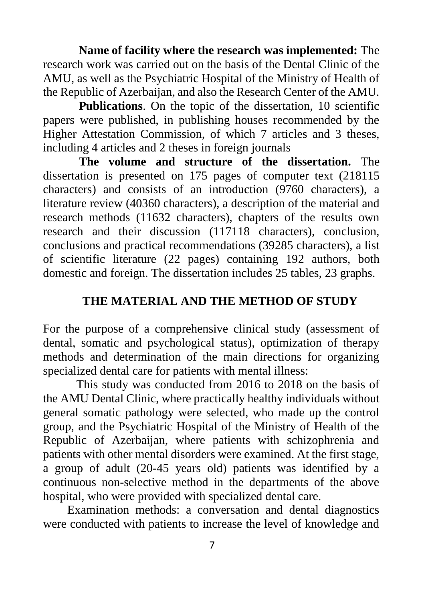**Name of facility where the research was implemented:** The research work was carried out on the basis of the Dental Clinic of the AMU, as well as the Psychiatric Hospital of the Ministry of Health of the Republic of Azerbaijan, and also the Research Center of the AMU.

**Publications**. On the topic of the dissertation, 10 scientific papers were published, in publishing houses recommended by the Higher Attestation Commission, of which 7 articles and 3 theses, including 4 articles and 2 theses in foreign journals

**The volume and structure of the dissertation.** The dissertation is presented on 175 pages of computer text (218115 characters) and consists of an introduction (9760 characters), a literature review (40360 characters), a description of the material and research methods (11632 characters), chapters of the results own research and their discussion (117118 characters), conclusion, conclusions and practical recommendations (39285 characters), a list of scientific literature (22 pages) containing 192 authors, both domestic and foreign. The dissertation includes 25 tables, 23 graphs.

#### **THE MATERIAL AND THE METHOD OF STUDY**

For the purpose of a comprehensive clinical study (assessment of dental, somatic and psychological status), optimization of therapy methods and determination of the main directions for organizing specialized dental care for patients with mental illness:

 This study was conducted from 2016 to 2018 on the basis of the AMU Dental Clinic, where practically healthy individuals without general somatic pathology were selected, who made up the control group, and the Psychiatric Hospital of the Ministry of Health of the Republic of Azerbaijan, where patients with schizophrenia and patients with other mental disorders were examined. At the first stage, a group of adult (20-45 years old) patients was identified by a continuous non-selective method in the departments of the above hospital, who were provided with specialized dental care.

 Examination methods: a conversation and dental diagnostics were conducted with patients to increase the level of knowledge and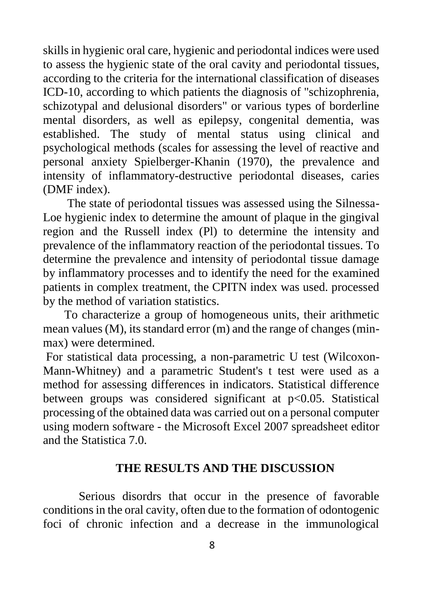skills in hygienic oral care, hygienic and periodontal indices were used to assess the hygienic state of the oral cavity and periodontal tissues, according to the criteria for the international classification of diseases ICD-10, according to which patients the diagnosis of "schizophrenia, schizotypal and delusional disorders" or various types of borderline mental disorders, as well as epilepsy, congenital dementia, was established. The study of mental status using clinical and psychological methods (scales for assessing the level of reactive and personal anxiety Spielberger-Khanin (1970), the prevalence and intensity of inflammatory-destructive periodontal diseases, caries (DMF index).

 The state of periodontal tissues was assessed using the Silnessa-Loe hygienic index to determine the amount of plaque in the gingival region and the Russell index (Pl) to determine the intensity and prevalence of the inflammatory reaction of the periodontal tissues. To determine the prevalence and intensity of periodontal tissue damage by inflammatory processes and to identify the need for the examined patients in complex treatment, the CPITN index was used. processed by the method of variation statistics.

 To characterize a group of homogeneous units, their arithmetic mean values (M), its standard error (m) and the range of changes (minmax) were determined.

For statistical data processing, a non-parametric U test (Wilcoxon-Mann-Whitney) and a parametric Student's t test were used as a method for assessing differences in indicators. Statistical difference between groups was considered significant at p<0.05. Statistical processing of the obtained data was carried out on a personal computer using modern software - the Microsoft Excel 2007 spreadsheet editor and the Statistica 7.0.

#### **THE RESULTS AND THE DISCUSSION**

Serious disordrs that occur in the presence of favorable conditions in the oral cavity, often due to the formation of odontogenic foci of chronic infection and a decrease in the immunological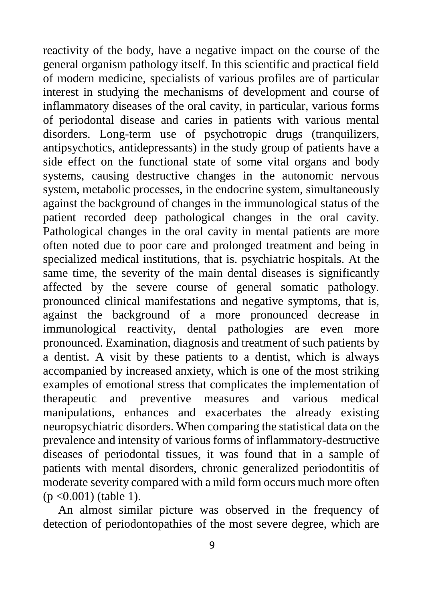reactivity of the body, have a negative impact on the course of the general organism pathology itself. In this scientific and practical field of modern medicine, specialists of various profiles are of particular interest in studying the mechanisms of development and course of inflammatory diseases of the oral cavity, in particular, various forms of periodontal disease and caries in patients with various mental disorders. Long-term use of psychotropic drugs (tranquilizers, antipsychotics, antidepressants) in the study group of patients have a side effect on the functional state of some vital organs and body systems, causing destructive changes in the autonomic nervous system, metabolic processes, in the endocrine system, simultaneously against the background of changes in the immunological status of the patient recorded deep pathological changes in the oral cavity. Pathological changes in the oral cavity in mental patients are more often noted due to poor care and prolonged treatment and being in specialized medical institutions, that is. psychiatric hospitals. At the same time, the severity of the main dental diseases is significantly affected by the severe course of general somatic pathology. pronounced clinical manifestations and negative symptoms, that is, against the background of a more pronounced decrease in immunological reactivity, dental pathologies are even more pronounced. Examination, diagnosis and treatment of such patients by a dentist. A visit by these patients to a dentist, which is always accompanied by increased anxiety, which is one of the most striking examples of emotional stress that complicates the implementation of therapeutic and preventive measures and various medical manipulations, enhances and exacerbates the already existing neuropsychiatric disorders. When comparing the statistical data on the prevalence and intensity of various forms of inflammatory-destructive diseases of periodontal tissues, it was found that in a sample of patients with mental disorders, chronic generalized periodontitis of moderate severity compared with a mild form occurs much more often (p <0.001) (table 1).

 An almost similar picture was observed in the frequency of detection of periodontopathies of the most severe degree, which are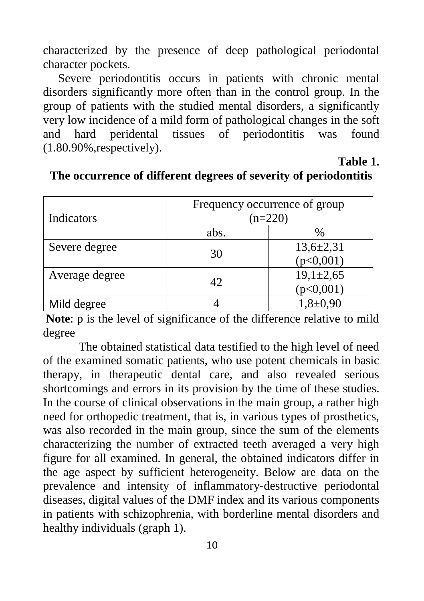characterized by the presence of deep pathological periodontal character pockets.

Severe periodontitis occurs in patients with chronic mental disorders significantly more often than in the control group. In the group of patients with the studied mental disorders, a significantly very low incidence of a mild form of pathological changes in the soft and hard peridental tissues of periodontitis was found (1.80.90%,respectively).

**Table 1.**

| Indicators     | Frequency occurrence of group<br>$(n=220)$ |                 |  |
|----------------|--------------------------------------------|-----------------|--|
|                | abs.                                       | %               |  |
| Severe degree  | 30                                         | $13,6{\pm}2,31$ |  |
|                |                                            | (p<0,001)       |  |
| Average degree | 42.                                        | $19,1 \pm 2,65$ |  |
|                |                                            | p<0,001         |  |
| Mild degree    |                                            | $1,8+0,90$      |  |

#### **The occurrence of different degrees of severity of periodontitis**

**Note**: p is the level of significance of the difference relative to mild degree

The obtained statistical data testified to the high level of need of the examined somatic patients, who use potent chemicals in basic therapy, in therapeutic dental care, and also revealed serious shortcomings and errors in its provision by the time of these studies. In the course of clinical observations in the main group, a rather high need for orthopedic treatment, that is, in various types of prosthetics, was also recorded in the main group, since the sum of the elements characterizing the number of extracted teeth averaged a very high figure for all examined. In general, the obtained indicators differ in the age aspect by sufficient heterogeneity. Below are data on the prevalence and intensity of inflammatory-destructive periodontal diseases, digital values of the DMF index and its various components in patients with schizophrenia, with borderline mental disorders and healthy individuals (graph 1).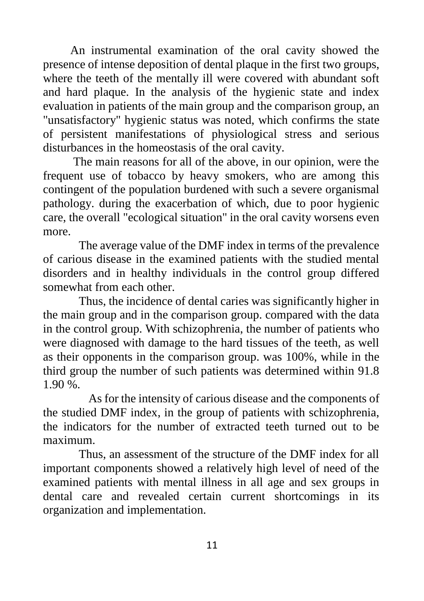An instrumental examination of the oral cavity showed the presence of intense deposition of dental plaque in the first two groups, where the teeth of the mentally ill were covered with abundant soft and hard plaque. In the analysis of the hygienic state and index evaluation in patients of the main group and the comparison group, an "unsatisfactory" hygienic status was noted, which confirms the state of persistent manifestations of physiological stress and serious disturbances in the homeostasis of the oral cavity.

 The main reasons for all of the above, in our opinion, were the frequent use of tobacco by heavy smokers, who are among this contingent of the population burdened with such a severe organismal pathology. during the exacerbation of which, due to poor hygienic care, the overall "ecological situation" in the oral cavity worsens even more.

The average value of the DMF index in terms of the prevalence of carious disease in the examined patients with the studied mental disorders and in healthy individuals in the control group differed somewhat from each other.

Thus, the incidence of dental caries was significantly higher in the main group and in the comparison group. compared with the data in the control group. With schizophrenia, the number of patients who were diagnosed with damage to the hard tissues of the teeth, as well as their opponents in the comparison group. was 100%, while in the third group the number of such patients was determined within 91.8 1.90 %.

 As for the intensity of carious disease and the components of the studied DMF index, in the group of patients with schizophrenia, the indicators for the number of extracted teeth turned out to be maximum.

Thus, an assessment of the structure of the DMF index for all important components showed a relatively high level of need of the examined patients with mental illness in all age and sex groups in dental care and revealed certain current shortcomings in its organization and implementation.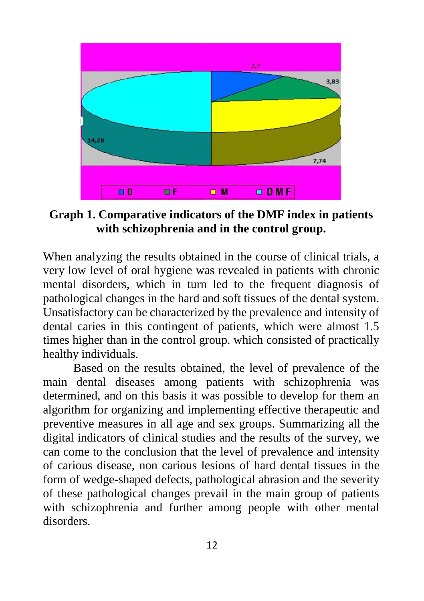

**Graph 1. Comparative indicators of the DMF index in patients with schizophrenia and in the control group.**

When analyzing the results obtained in the course of clinical trials, a very low level of oral hygiene was revealed in patients with chronic mental disorders, which in turn led to the frequent diagnosis of pathological changes in the hard and soft tissues of the dental system. Unsatisfactory can be characterized by the prevalence and intensity of dental caries in this contingent of patients, which were almost 1.5 times higher than in the control group. which consisted of practically healthy individuals.

 Based on the results obtained, the level of prevalence of the main dental diseases among patients with schizophrenia was determined, and on this basis it was possible to develop for them an algorithm for organizing and implementing effective therapeutic and preventive measures in all age and sex groups. Summarizing all the digital indicators of clinical studies and the results of the survey, we can come to the conclusion that the level of prevalence and intensity of carious disease, non carious lesions of hard dental tissues in the form of wedge-shaped defects, pathological abrasion and the severity of these pathological changes prevail in the main group of patients with schizophrenia and further among people with other mental disorders.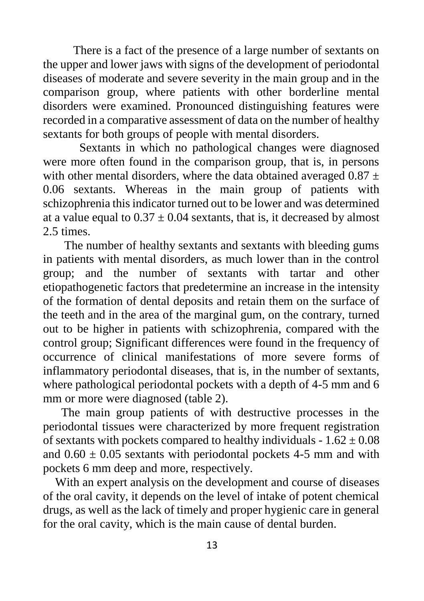There is a fact of the presence of a large number of sextants on the upper and lower jaws with signs of the development of periodontal diseases of moderate and severe severity in the main group and in the comparison group, where patients with other borderline mental disorders were examined. Pronounced distinguishing features were recorded in a comparative assessment of data on the number of healthy sextants for both groups of people with mental disorders.

 Sextants in which no pathological changes were diagnosed were more often found in the comparison group, that is, in persons with other mental disorders, where the data obtained averaged  $0.87 \pm$ 0.06 sextants. Whereas in the main group of patients with schizophrenia this indicator turned out to be lower and was determined at a value equal to  $0.37 \pm 0.04$  sextants, that is, it decreased by almost 2.5 times.

 The number of healthy sextants and sextants with bleeding gums in patients with mental disorders, as much lower than in the control group; and the number of sextants with tartar and other etiopathogenetic factors that predetermine an increase in the intensity of the formation of dental deposits and retain them on the surface of the teeth and in the area of the marginal gum, on the contrary, turned out to be higher in patients with schizophrenia, compared with the control group; Significant differences were found in the frequency of occurrence of clinical manifestations of more severe forms of inflammatory periodontal diseases, that is, in the number of sextants, where pathological periodontal pockets with a depth of 4-5 mm and 6 mm or more were diagnosed (table 2).

 The main group patients of with destructive processes in the periodontal tissues were characterized by more frequent registration of sextants with pockets compared to healthy individuals -  $1.62 \pm 0.08$ and  $0.60 \pm 0.05$  sextants with periodontal pockets 4-5 mm and with pockets 6 mm deep and more, respectively.

 With an expert analysis on the development and course of diseases of the oral cavity, it depends on the level of intake of potent chemical drugs, as well as the lack of timely and proper hygienic care in general for the oral cavity, which is the main cause of dental burden.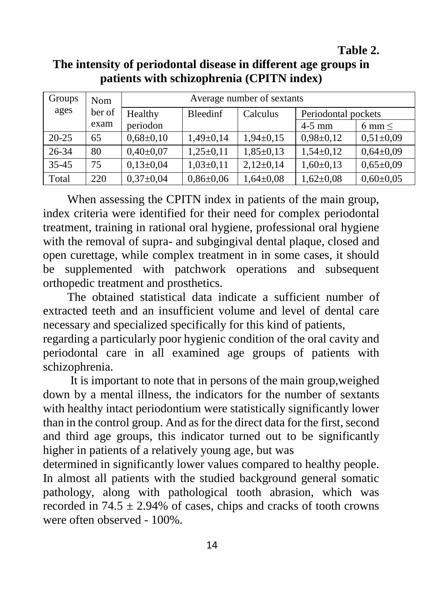**Table 2.** 

# **The intensity of periodontal disease in different age groups in patients with schizophrenia (CPITN index)**

| Groups    | <b>Nom</b> | Average number of sextants |                 |               |                     |                  |
|-----------|------------|----------------------------|-----------------|---------------|---------------------|------------------|
| ages      | ber of     | Healthy                    | <b>Bleedinf</b> | Calculus      | Periodontal pockets |                  |
|           | exam       | periodon                   |                 |               | $4-5$ mm            | $6 \text{ mm} <$ |
| $20 - 25$ | 65         | $0,68{\pm}0,10$            | $1,49\pm0,14$   | $1,94\pm0,15$ | $0,98 \pm 0,12$     | $0,51\pm0.09$    |
| $26 - 34$ | 80         | $0,40\pm0,07$              | $1,25\pm0,11$   | $1,85\pm0,13$ | $1,54\pm0,12$       | $0,64\pm0,09$    |
| $35 - 45$ | 75         | $0,13\pm0,04$              | $1,03\pm0,11$   | $2,12\pm0,14$ | $1,60\pm0,13$       | $0,65 \pm 0.09$  |
| Total     | 220        | $0,37\pm0,04$              | $0,86 \pm 0,06$ | $1,64\pm0.08$ | $1,62\pm0,08$       | $0,60\pm0,05$    |

 When assessing the CPITN index in patients of the main group, index criteria were identified for their need for complex periodontal treatment, training in rational oral hygiene, professional oral hygiene with the removal of supra- and subgingival dental plaque, closed and open curettage, while complex treatment in in some cases, it should be supplemented with patchwork operations and subsequent orthopedic treatment and prosthetics.

 The obtained statistical data indicate a sufficient number of extracted teeth and an insufficient volume and level of dental care necessary and specialized specifically for this kind of patients,

regarding a particularly poor hygienic condition of the oral cavity and periodontal care in all examined age groups of patients with schizophrenia.

 It is important to note that in persons of the main group,weighed down by a mental illness, the indicators for the number of sextants with healthy intact periodontium were statistically significantly lower than in the control group. And as for the direct data for the first, second and third age groups, this indicator turned out to be significantly higher in patients of a relatively young age, but was

determined in significantly lower values compared to healthy people. In almost all patients with the studied background general somatic pathology, along with pathological tooth abrasion, which was recorded in  $74.5 \pm 2.94\%$  of cases, chips and cracks of tooth crowns were often observed - 100%.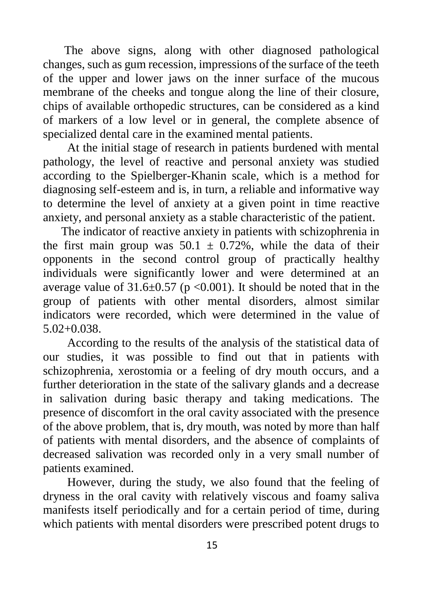The above signs, along with other diagnosed pathological changes, such as gum recession, impressions of the surface of the teeth of the upper and lower jaws on the inner surface of the mucous membrane of the cheeks and tongue along the line of their closure, chips of available orthopedic structures, can be considered as a kind of markers of a low level or in general, the complete absence of specialized dental care in the examined mental patients.

 At the initial stage of research in patients burdened with mental pathology, the level of reactive and personal anxiety was studied according to the Spielberger-Khanin scale, which is a method for diagnosing self-esteem and is, in turn, a reliable and informative way to determine the level of anxiety at a given point in time reactive anxiety, and personal anxiety as a stable characteristic of the patient.

 The indicator of reactive anxiety in patients with schizophrenia in the first main group was  $50.1 \pm 0.72\%$ , while the data of their opponents in the second control group of practically healthy individuals were significantly lower and were determined at an average value of  $31.6 \pm 0.57$  (p < 0.001). It should be noted that in the group of patients with other mental disorders, almost similar indicators were recorded, which were determined in the value of 5.02+0.038.

 According to the results of the analysis of the statistical data of our studies, it was possible to find out that in patients with schizophrenia, xerostomia or a feeling of dry mouth occurs, and a further deterioration in the state of the salivary glands and a decrease in salivation during basic therapy and taking medications. The presence of discomfort in the oral cavity associated with the presence of the above problem, that is, dry mouth, was noted by more than half of patients with mental disorders, and the absence of complaints of decreased salivation was recorded only in a very small number of patients examined.

 However, during the study, we also found that the feeling of dryness in the oral cavity with relatively viscous and foamy saliva manifests itself periodically and for a certain period of time, during which patients with mental disorders were prescribed potent drugs to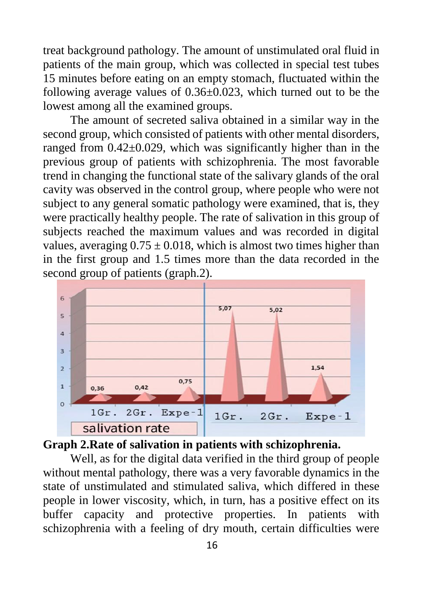treat background pathology. The amount of unstimulated oral fluid in patients of the main group, which was collected in special test tubes 15 minutes before eating on an empty stomach, fluctuated within the following average values of 0.36±0.023, which turned out to be the lowest among all the examined groups.

 The amount of secreted saliva obtained in a similar way in the second group, which consisted of patients with other mental disorders, ranged from  $0.42\pm0.029$ , which was significantly higher than in the previous group of patients with schizophrenia. The most favorable trend in changing the functional state of the salivary glands of the oral cavity was observed in the control group, where people who were not subject to any general somatic pathology were examined, that is, they were practically healthy people. The rate of salivation in this group of subjects reached the maximum values and was recorded in digital values, averaging  $0.75 \pm 0.018$ , which is almost two times higher than in the first group and 1.5 times more than the data recorded in the second group of patients (graph.2).





 Well, as for the digital data verified in the third group of people without mental pathology, there was a very favorable dynamics in the state of unstimulated and stimulated saliva, which differed in these people in lower viscosity, which, in turn, has a positive effect on its buffer capacity and protective properties. In patients with schizophrenia with a feeling of dry mouth, certain difficulties were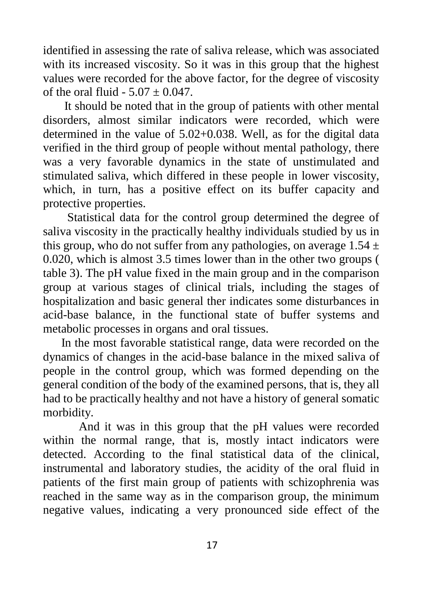identified in assessing the rate of saliva release, which was associated with its increased viscosity. So it was in this group that the highest values were recorded for the above factor, for the degree of viscosity of the oral fluid -  $5.07 \pm 0.047$ .

 It should be noted that in the group of patients with other mental disorders, almost similar indicators were recorded, which were determined in the value of 5.02+0.038. Well, as for the digital data verified in the third group of people without mental pathology, there was a very favorable dynamics in the state of unstimulated and stimulated saliva, which differed in these people in lower viscosity, which, in turn, has a positive effect on its buffer capacity and protective properties.

 Statistical data for the control group determined the degree of saliva viscosity in the practically healthy individuals studied by us in this group, who do not suffer from any pathologies, on average  $1.54 \pm 1.54$ 0.020, which is almost 3.5 times lower than in the other two groups ( table 3). The pH value fixed in the main group and in the comparison group at various stages of clinical trials, including the stages of hospitalization and basic general ther indicates some disturbances in acid-base balance, in the functional state of buffer systems and metabolic processes in organs and oral tissues.

 In the most favorable statistical range, data were recorded on the dynamics of changes in the acid-base balance in the mixed saliva of people in the control group, which was formed depending on the general condition of the body of the examined persons, that is, they all had to be practically healthy and not have a history of general somatic morbidity.

And it was in this group that the pH values were recorded within the normal range, that is, mostly intact indicators were detected. According to the final statistical data of the clinical, instrumental and laboratory studies, the acidity of the oral fluid in patients of the first main group of patients with schizophrenia was reached in the same way as in the comparison group, the minimum negative values, indicating a very pronounced side effect of the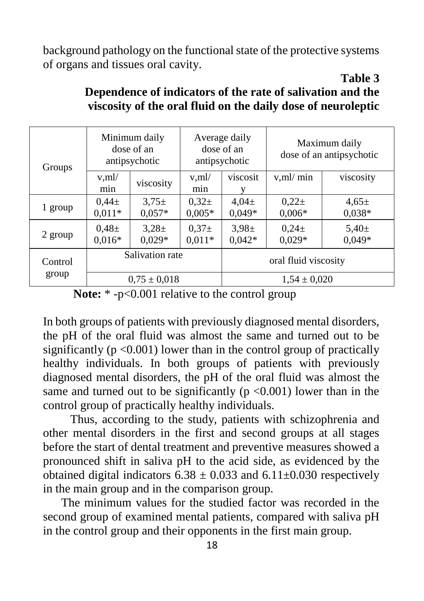background pathology on the functional state of the protective systems of organs and tissues oral cavity.

| Groups  | Minimum daily<br>dose of an<br>antipsychotic |                        | Average daily<br>dose of an<br>antipsychotic |                        | Maximum daily<br>dose of an antipsychotic |                        |
|---------|----------------------------------------------|------------------------|----------------------------------------------|------------------------|-------------------------------------------|------------------------|
|         | $v$ ,ml/<br>min                              | viscosity              | $v$ , m $l$<br>min                           | viscosit               | $v$ , m $l$ min                           | viscosity              |
| 1 group | $0.44 \pm$<br>$0,011*$                       | $3.75 \pm$<br>$0.057*$ | $0.32 \pm$<br>$0,005*$                       | $4.04 \pm$<br>$0,049*$ | $0,22+$<br>$0,006*$                       | $4.65 \pm$<br>$0,038*$ |
| 2 group | $0.48\pm$<br>$0,016*$                        | $3,28\pm$<br>$0.029*$  | $0.37\pm$<br>$0,011*$                        | $3.98 \pm$<br>$0.042*$ | $0.24 \pm$<br>$0.029*$                    | $5,40\pm$<br>$0.049*$  |
| Control | Salivation rate                              |                        | oral fluid viscosity                         |                        |                                           |                        |
| group   | $0.75 \pm 0.018$                             |                        |                                              | $1.54 \pm 0.020$       |                                           |                        |

#### **Table 3 Dependence of indicators of the rate of salivation and the viscosity of the oral fluid on the daily dose of neuroleptic**

In both groups of patients with previously diagnosed mental disorders, the pH of the oral fluid was almost the same and turned out to be significantly ( $p \le 0.001$ ) lower than in the control group of practically healthy individuals. In both groups of patients with previously diagnosed mental disorders, the pH of the oral fluid was almost the same and turned out to be significantly ( $p \le 0.001$ ) lower than in the control group of practically healthy individuals.

 Thus, according to the study, patients with schizophrenia and other mental disorders in the first and second groups at all stages before the start of dental treatment and preventive measures showed a pronounced shift in saliva pH to the acid side, as evidenced by the obtained digital indicators  $6.38 \pm 0.033$  and  $6.11 \pm 0.030$  respectively in the main group and in the comparison group.

 The minimum values for the studied factor was recorded in the second group of examined mental patients, compared with saliva pH in the control group and their opponents in the first main group.

Note: \* -p<0.001 relative to the control group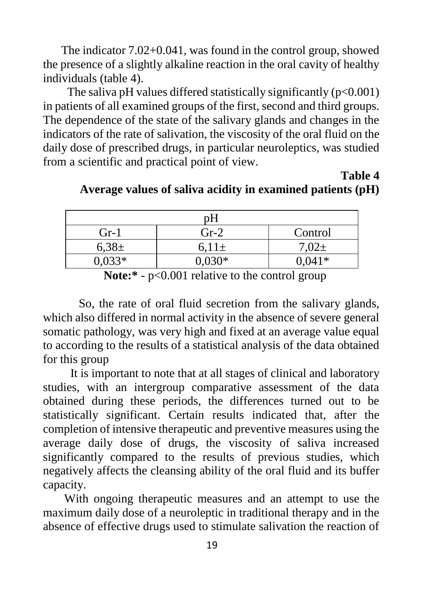The indicator 7.02+0.041, was found in the control group, showed the presence of a slightly alkaline reaction in the oral cavity of healthy individuals (table 4).

The saliva pH values differed statistically significantly  $(p<0.001)$ in patients of all examined groups of the first, second and third groups. The dependence of the state of the salivary glands and changes in the indicators of the rate of salivation, the viscosity of the oral fluid on the daily dose of prescribed drugs, in particular neuroleptics, was studied from a scientific and practical point of view.

**Table 4**

| nН        |            |            |  |  |
|-----------|------------|------------|--|--|
| $Gr-1$    | $Gr-2$     | Control    |  |  |
| $6,38\pm$ | $6.11 \pm$ | $7.02 \pm$ |  |  |
| $0.033*$  | $0,030*$   | $0.041*$   |  |  |

**Average values of saliva acidity in examined patients (pH)**

Note:\* - p<0.001 relative to the control group

So, the rate of oral fluid secretion from the salivary glands, which also differed in normal activity in the absence of severe general somatic pathology, was very high and fixed at an average value equal to according to the results of a statistical analysis of the data obtained for this group

 It is important to note that at all stages of clinical and laboratory studies, with an intergroup comparative assessment of the data obtained during these periods, the differences turned out to be statistically significant. Certain results indicated that, after the completion of intensive therapeutic and preventive measures using the average daily dose of drugs, the viscosity of saliva increased significantly compared to the results of previous studies, which negatively affects the cleansing ability of the oral fluid and its buffer capacity.

 With ongoing therapeutic measures and an attempt to use the maximum daily dose of a neuroleptic in traditional therapy and in the absence of effective drugs used to stimulate salivation the reaction of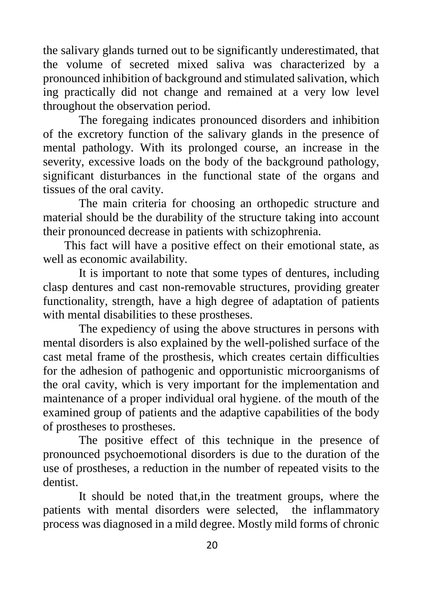the salivary glands turned out to be significantly underestimated, that the volume of secreted mixed saliva was characterized by a pronounced inhibition of background and stimulated salivation, which ing practically did not change and remained at a very low level throughout the observation period.

The foregaing indicates pronounced disorders and inhibition of the excretory function of the salivary glands in the presence of mental pathology. With its prolonged course, an increase in the severity, excessive loads on the body of the background pathology, significant disturbances in the functional state of the organs and tissues of the oral cavity.

The main criteria for choosing an orthopedic structure and material should be the durability of the structure taking into account their pronounced decrease in patients with schizophrenia.

 This fact will have a positive effect on their emotional state, as well as economic availability.

It is important to note that some types of dentures, including clasp dentures and cast non-removable structures, providing greater functionality, strength, have a high degree of adaptation of patients with mental disabilities to these prostheses.

The expediency of using the above structures in persons with mental disorders is also explained by the well-polished surface of the cast metal frame of the prosthesis, which creates certain difficulties for the adhesion of pathogenic and opportunistic microorganisms of the oral cavity, which is very important for the implementation and maintenance of a proper individual oral hygiene. of the mouth of the examined group of patients and the adaptive capabilities of the body of prostheses to prostheses.

The positive effect of this technique in the presence of pronounced psychoemotional disorders is due to the duration of the use of prostheses, a reduction in the number of repeated visits to the dentist.

It should be noted that,in the treatment groups, where the patients with mental disorders were selected, the inflammatory process was diagnosed in a mild degree. Mostly mild forms of chronic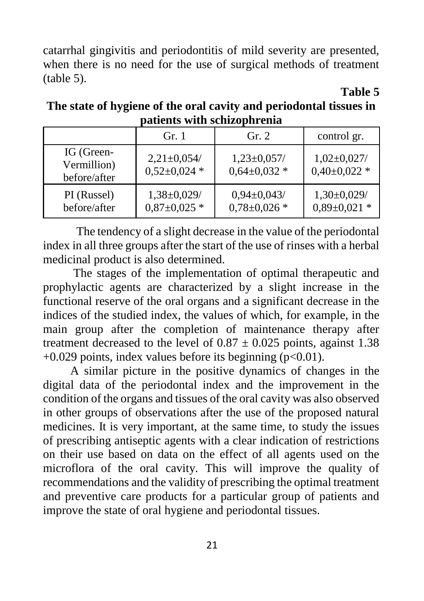catarrhal gingivitis and periodontitis of mild severity are presented, when there is no need for the use of surgical methods of treatment (table 5).

**Table 5**

**The state of hygiene of the oral cavity and periodontal tissues in patients with schizophrenia**

|                                           | Gr. 1                                  | Gr. 2                              | control gr.                         |
|-------------------------------------------|----------------------------------------|------------------------------------|-------------------------------------|
| IG (Green-<br>Vermillion)<br>before/after | $2,21 \pm 0,054$ /<br>$0,52\pm0,024*$  | $1,23\pm0,057/$<br>$0,64\pm0,032*$ | $1,02\pm0,027/$<br>$0,40\pm0,022$ * |
| PI (Russel)<br>before/after               | $1,38 \pm 0,029$<br>$0.87 \pm 0.025$ * | $0,94\pm0,043/$<br>$0,78\pm0,026*$ | $1,30\pm0,029/$<br>$0,89\pm0,021*$  |

 The tendency of a slight decrease in the value of the periodontal index in all three groups after the start of the use of rinses with a herbal medicinal product is also determined.

 The stages of the implementation of optimal therapeutic and prophylactic agents are characterized by a slight increase in the functional reserve of the oral organs and a significant decrease in the indices of the studied index, the values of which, for example, in the main group after the completion of maintenance therapy after treatment decreased to the level of  $0.87 \pm 0.025$  points, against 1.38  $+0.029$  points, index values before its beginning (p<0.01).

 A similar picture in the positive dynamics of changes in the digital data of the periodontal index and the improvement in the condition of the organs and tissues of the oral cavity was also observed in other groups of observations after the use of the proposed natural medicines. It is very important, at the same time, to study the issues of prescribing antiseptic agents with a clear indication of restrictions on their use based on data on the effect of all agents used on the microflora of the oral cavity. This will improve the quality of recommendations and the validity of prescribing the optimal treatment and preventive care products for a particular group of patients and improve the state of oral hygiene and periodontal tissues.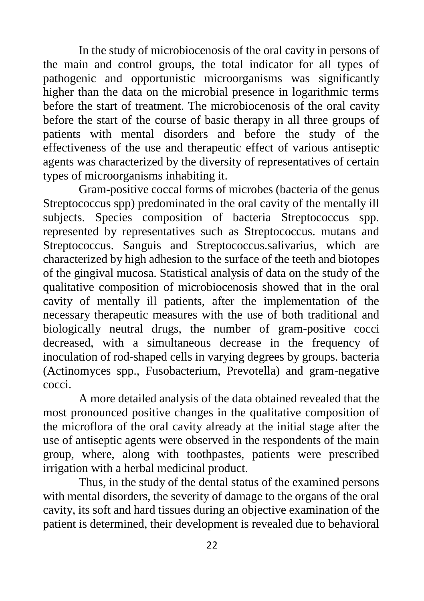In the study of microbiocenosis of the oral cavity in persons of the main and control groups, the total indicator for all types of pathogenic and opportunistic microorganisms was significantly higher than the data on the microbial presence in logarithmic terms before the start of treatment. The microbiocenosis of the oral cavity before the start of the course of basic therapy in all three groups of patients with mental disorders and before the study of the effectiveness of the use and therapeutic effect of various antiseptic agents was characterized by the diversity of representatives of certain types of microorganisms inhabiting it.

Gram-positive coccal forms of microbes (bacteria of the genus Streptococcus spp) predominated in the oral cavity of the mentally ill subjects. Species composition of bacteria Streptococcus spp. represented by representatives such as Streptococcus. mutans and Streptococcus. Sanguis and Streptococcus.salivarius, which are characterized by high adhesion to the surface of the teeth and biotopes of the gingival mucosa. Statistical analysis of data on the study of the qualitative composition of microbiocenosis showed that in the oral cavity of mentally ill patients, after the implementation of the necessary therapeutic measures with the use of both traditional and biologically neutral drugs, the number of gram-positive cocci decreased, with a simultaneous decrease in the frequency of inoculation of rod-shaped cells in varying degrees by groups. bacteria (Actinomyces spp., Fusobacterium, Prevotella) and gram-negative cocci.

A more detailed analysis of the data obtained revealed that the most pronounced positive changes in the qualitative composition of the microflora of the oral cavity already at the initial stage after the use of antiseptic agents were observed in the respondents of the main group, where, along with toothpastes, patients were prescribed irrigation with a herbal medicinal product.

Thus, in the study of the dental status of the examined persons with mental disorders, the severity of damage to the organs of the oral cavity, its soft and hard tissues during an objective examination of the patient is determined, their development is revealed due to behavioral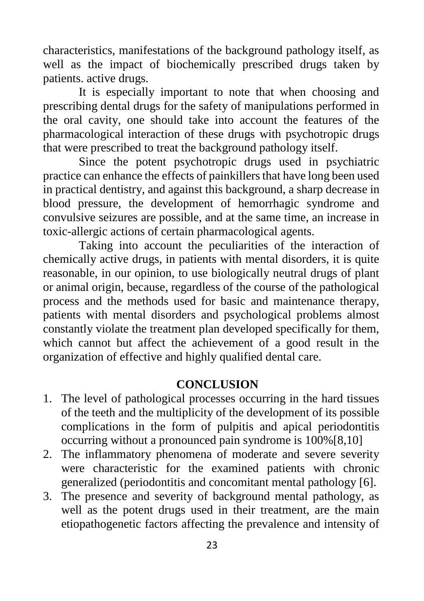characteristics, manifestations of the background pathology itself, as well as the impact of biochemically prescribed drugs taken by patients. active drugs.

It is especially important to note that when choosing and prescribing dental drugs for the safety of manipulations performed in the oral cavity, one should take into account the features of the pharmacological interaction of these drugs with psychotropic drugs that were prescribed to treat the background pathology itself.

Since the potent psychotropic drugs used in psychiatric practice can enhance the effects of painkillers that have long been used in practical dentistry, and against this background, a sharp decrease in blood pressure, the development of hemorrhagic syndrome and convulsive seizures are possible, and at the same time, an increase in toxic-allergic actions of certain pharmacological agents.

Taking into account the peculiarities of the interaction of chemically active drugs, in patients with mental disorders, it is quite reasonable, in our opinion, to use biologically neutral drugs of plant or animal origin, because, regardless of the course of the pathological process and the methods used for basic and maintenance therapy, patients with mental disorders and psychological problems almost constantly violate the treatment plan developed specifically for them, which cannot but affect the achievement of a good result in the organization of effective and highly qualified dental care.

#### **CONCLUSION**

- 1. The level of pathological processes occurring in the hard tissues of the teeth and the multiplicity of the development of its possible complications in the form of pulpitis and apical periodontitis occurring without a pronounced pain syndrome is 100%[8,10]
- 2. The inflammatory phenomena of moderate and severe severity were characteristic for the examined patients with chronic generalized (periodontitis and concomitant mental pathology [6].
- 3. The presence and severity of background mental pathology, as well as the potent drugs used in their treatment, are the main etiopathogenetic factors affecting the prevalence and intensity of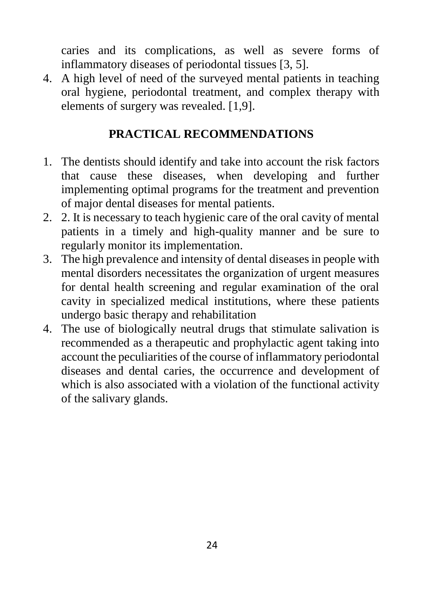caries and its complications, as well as severe forms of inflammatory diseases of periodontal tissues [3, 5].

4. A high level of need of the surveyed mental patients in teaching oral hygiene, periodontal treatment, and complex therapy with elements of surgery was revealed. [1,9].

### **PRACTICAL RECOMMENDATIONS**

- 1. The dentists should identify and take into account the risk factors that cause these diseases, when developing and further implementing optimal programs for the treatment and prevention of major dental diseases for mental patients.
- 2. 2. It is necessary to teach hygienic care of the oral cavity of mental patients in a timely and high-quality manner and be sure to regularly monitor its implementation.
- 3. The high prevalence and intensity of dental diseases in people with mental disorders necessitates the organization of urgent measures for dental health screening and regular examination of the oral cavity in specialized medical institutions, where these patients undergo basic therapy and rehabilitation
- 4. The use of biologically neutral drugs that stimulate salivation is recommended as a therapeutic and prophylactic agent taking into account the peculiarities of the course of inflammatory periodontal diseases and dental caries, the occurrence and development of which is also associated with a violation of the functional activity of the salivary glands.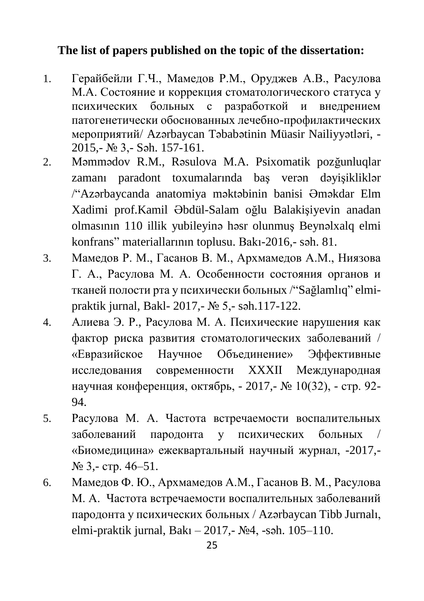#### **The list of papers published on the topic of the dissertation:**

- 1. Герайбейли Г.Ч., Мамедов Р.М., Оруджев А.В., Расулова М.А. Состояние и коррекция стоматологического статуса у психических больных с разработкой и внедрением патогенетически обоснованных лечебно-профилактических мероприятий/ Azərbaycan Təbabətinin Müasir Nailiyyətləri, - 2015,- № 3,- Səh. 157-161.
- 2. Məmmədov R.M., Rəsulova M.A. Psixomatik pozğunluqlar zamanı paradont toxumalarında baş verən dəyişikliklər /"Azərbaycanda anatomiya məktəbinin banisi Əməkdar Elm Xadimi prof.Kamil Əbdül-Salam oğlu Balakişiyevin anadan olmasının 110 illik yubileyinə həsr olunmuş Beynəlxalq elmi konfrans" materiallarının toplusu. Bakı-2016,- səh. 81.
- 3. Мамедов Р. М., Гасанов В. М., Архмамедов А.М., Ниязова Г. А., Расулова М. А. Особенности состояния органов и тканей полости рта у психически больных /"Sağlamlıq" elmipraktik jurnal, Bakl- 2017,- № 5,- səh.117-122.
- 4. Алиева Э. Р., Расулова М. А. Психические нарушения как фактор риска развития стоматологических заболеваний / «Евразийское Научное Объединение» Эффективные исследования современности XXXII Международная научная конференция, октябрь, - 2017,- № 10(32), - стр. 92- 94.
- 5. Расулова М. А. Частота встречаемости воспалительных заболеваний пародонта у психических больных / «Биомедицина» ежеквартальный научный журнал, -2017,- № 3,- стр. 46–51.
- 6. Мамедов Ф. Ю., Архмамедов А.М., Гасанов В. М., Расулова М. А. Частота встречаемости воспалительных заболеваний пародонта у психических больных / Azərbaycan Tibb Jurnalı, elmi-praktik jurnal, Bakı – 2017, - No4, -səh. 105–110.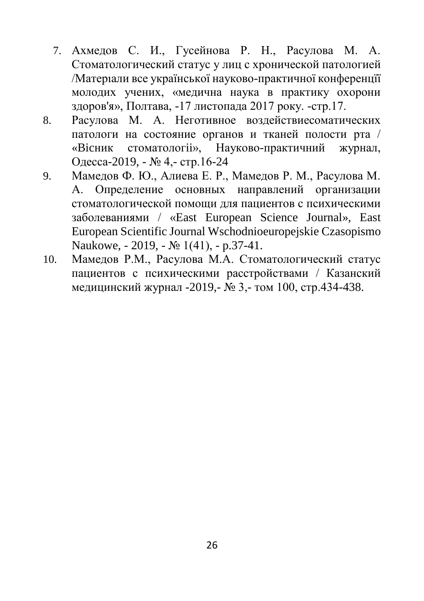- 7. Ахмедов С. И., Гусейнова Р. Н., Расулова М. А. Стоматологический статус у лиц с хронической патологией /Матерıали все украïнськоï науково-практичноï конференцïï молодих учених, «медична наука в практику охорони здоров'я», Полтава, -17 листопада 2017 року. -стр.17.
- 8. Расулова М. А. Неготивное воздействиесоматических патологи на состояние органов и тканей полости рта / «Bicник стоматологii», Науково-практичний журнал, Одесса-2019, - № 4,- стр.16-24
- 9. Мамедов Ф. Ю., Алиева Е. Р., Мамедов Р. М., Расулова М. А. Определение основных направлений организации стоматологической помощи для пациентов с психическими заболеваниями / «East European Science Journal», East European Scientific Journal Wschodnioeuropejskie Czasopismo Naukowe, - 2019, - № 1(41), - p.37-41.
- 10. Мамедов Р.М., Расулова М.А. Стоматологический статус пациентов с психическими расстройствами / Казанский медицинский журнал -2019,- № 3,- том 100, стр.434-438.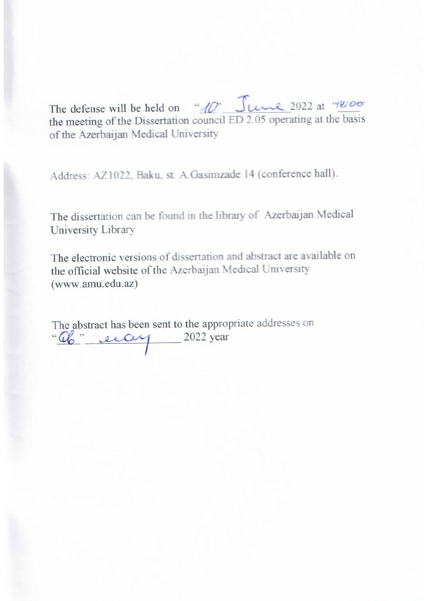$T$ The defense will be held on  $\frac{dV}{d\theta}$  State 2022 at the basis the meeting of the Dissertation council ED 2.05 operating at the basis<br>of the Azerbaijan Medical University

Address: AZ1022, Baku, st. A.Gasimzade 14 (conference hall).

The dissertation can be found in the library of Azerbaijan Medical University Library

The electronic versions of dissertation and abstract are available on the official website of the Azerbaijan Medical University (www.amu.edu.az)

The abstract has been sent to the appropriate addresses on<br>" "ab" eiay